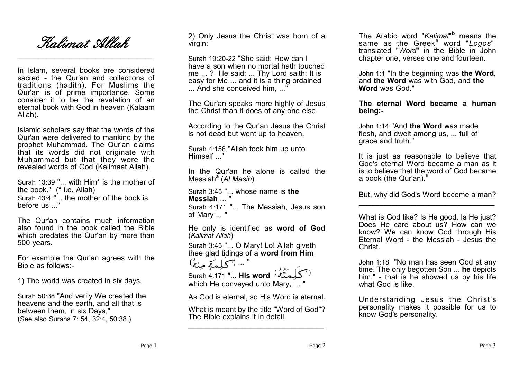

 $\overline{\phantom{a}}$  , where  $\overline{\phantom{a}}$  , where  $\overline{\phantom{a}}$  ,  $\overline{\phantom{a}}$  ,  $\overline{\phantom{a}}$  ,  $\overline{\phantom{a}}$  ,  $\overline{\phantom{a}}$  ,  $\overline{\phantom{a}}$  ,  $\overline{\phantom{a}}$  ,  $\overline{\phantom{a}}$  ,  $\overline{\phantom{a}}$  ,  $\overline{\phantom{a}}$  ,  $\overline{\phantom{a}}$  ,  $\overline{\phantom{a}}$  ,  $\overline{\phantom{a}}$  ,

In Islam, several books are considered sacred - the Qur'an and collections of traditions (hadith). For Muslims the Qur'an is of prime importance. Some consider it to be the revelation of an eternal book with God in heaven (Kalaam Allah).

Islamic scholars say that the words of the Qur'an were delivered to mankind by the prophet Muhammad. The Qur'an claims that its words did not originate with Muhammad but that they were the revealed words of God (Kalimaat Allah).

Surah 13:39 "... with Him\* is the mother of the book." (\* i.e. Allah) Surah 43:4 "... the mother of the book is before us ..."

The Qur'an contains much information also found in the book called the Bible which predates the Qur'an by more than 500 years.

For example the Qur'an agrees with the Bible as follows:-

1) The world was created in six days.

Surah 50:38 "And verily We created the heavens and the earth, and all that is between them, in six Days," (See also Surahs 7: 54, 32:4, 50:38.)

2) Only Jesus the Christ was born of a virgin:

Surah 19:20-22 "She said: How can I have a son when no mortal hath touched me ... ? He said: ... Thy Lord saith: It is easy for Me ... and it is a thing ordained ... And she conceived him, ..."

The Qur'an speaks more highly of Jesus the Christ than it does of any one else.

According to the Qur'an Jesus the Christ is not dead but went up to heaven.

Surah 4:158 "Allah took him up unto Himself ..."

In the Qur'an he alone is called the Messiah**<sup>a</sup>** (*Al Masih*).

Surah 3:45 "... whose name is **the Messiah** ... "

Surah 4:171 "... The Messiah, Jesus son of Mary ... "

He only is identified as **word of God** (*Kalimat Allah*)

Surah 3:45 "... O Mary! Lo! Allah giveth thee glad tidings of a **word from Him**

... (كلِمَةٍ مِنْهُ) Surah 4:171 "... **His word** ( ) which He conveyed unto Mary, ... "

As God is eternal, so His Word is eternal.

What is meant by the title "Word of God"? The Bible explains it in detail. **\_\_\_\_\_\_\_\_\_\_\_\_\_\_\_\_\_\_\_\_\_\_\_\_\_\_\_\_\_\_\_\_\_**

The Arabic word "*Kalimat*" **<sup>b</sup>** means the same as the Greek**<sup>c</sup>** word "*Logos*", translated "*Word*" in the Bible in John chapter one, verses one and fourteen.

John 1:1 "In the beginning was **the Word,** and **the Word** was with God, and **the Word** was God."

**The eternal Word became a human being:-**

John 1:14 "And **the Word** was made flesh, and dwelt among us, ... full of grace and truth."

It is just as reasonable to believe that God's eternal Word became a man as it is to believe that the word of God became a book (the Qur'an).<sup>c</sup>

But, why did God's Word become a man? **\_\_\_\_\_\_\_\_\_\_\_\_\_\_\_\_\_\_\_\_\_\_\_\_\_\_\_\_\_\_\_\_\_**

What is God like? Is He good. Is He just? Does He care about us? How can we know? We can know God through His Eternal Word - the Messiah - Jesus the Christ.

John 1:18 "No man has seen God at any time. The only begotten Son ... **he** depicts him." - that is he showed us by his life what God is like.

Understanding Jesus the Christ's personality makes it possible for us to know God's personality.